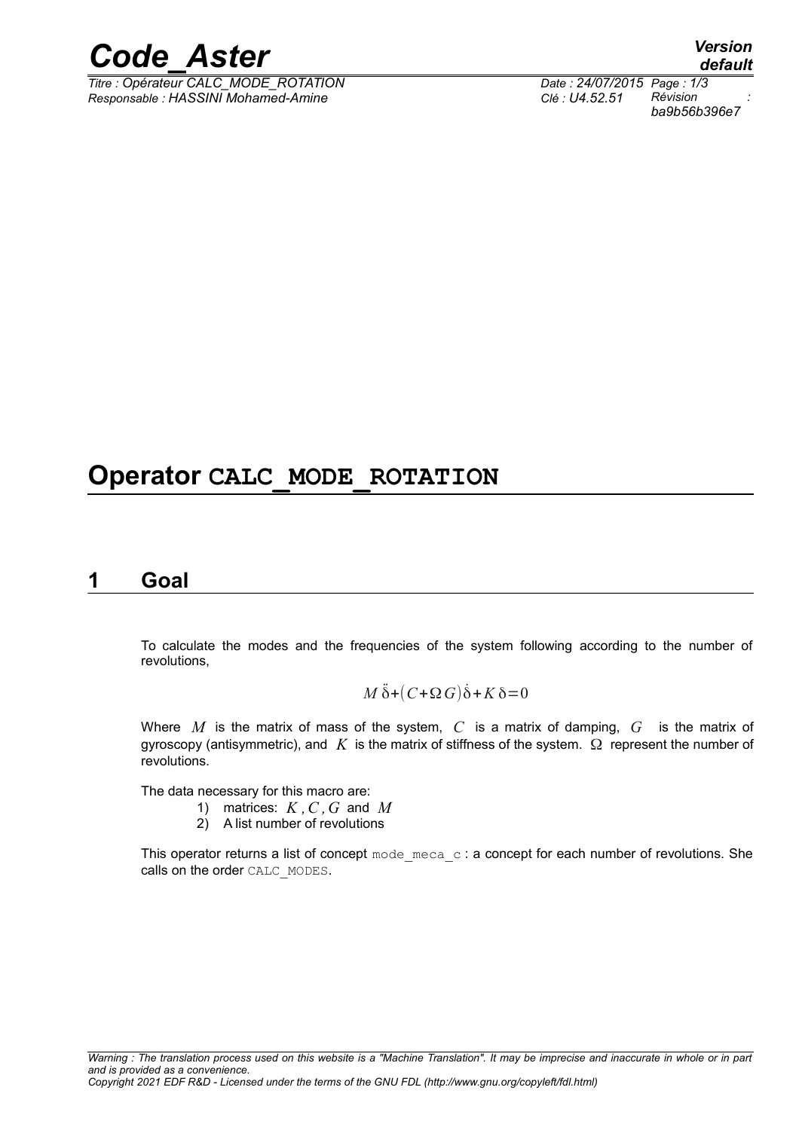

*Titre : Opérateur CALC\_MODE\_ROTATION Date : 24/07/2015 Page : 1/3 Responsable : HASSINI Mohamed-Amine Clé : U4.52.51 Révision :*

# **Operator CALC\_MODE\_ROTATION**

# **1 Goal**

To calculate the modes and the frequencies of the system following according to the number of revolutions,

$$
M\ddot{\delta} + (C + \Omega G)\dot{\delta} + K\delta = 0
$$

Where  $M$  is the matrix of mass of the system,  $C$  is a matrix of damping,  $G$  is the matrix of gyroscopy (antisymmetric), and  $K$  is the matrix of stiffness of the system.  $\Omega$  represent the number of revolutions.

The data necessary for this macro are:

- 1) matrices: *K ,C ,G* and *M*
- 2) A list number of revolutions

This operator returns a list of concept  $\text{mode\_meca\_c}$ : a concept for each number of revolutions. She calls on the order CALC\_MODES.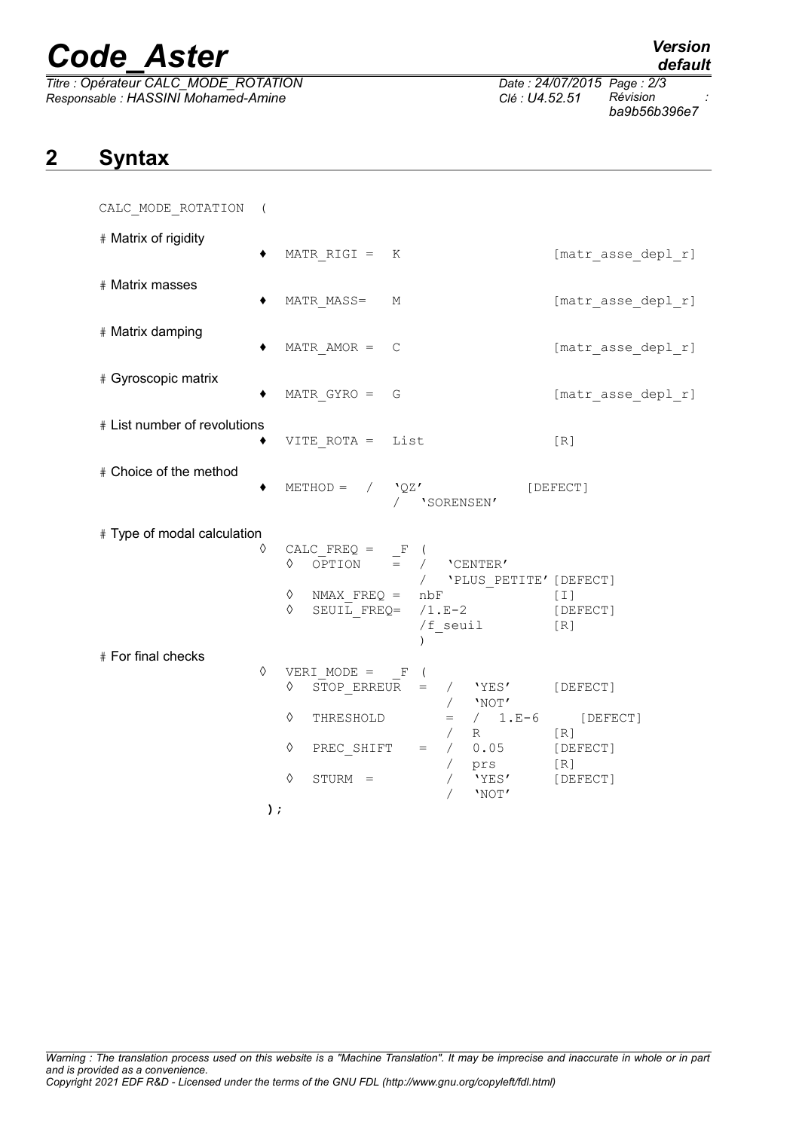# *Code\_Aster Version*

*Titre : Opérateur CALC\_MODE\_ROTATION Date : 24/07/2015 Page : 2/3 Responsable : HASSINI Mohamed-Amine Clé : U4.52.51 Révision :*

*default*

*ba9b56b396e7*

# **2 Syntax**

CALC\_MODE\_ROTATION (

| # Matrix of rigidity         |            | MATR RIGI = $K$                                                                                                                                                                                                                                                                                                                 | [matr asse depl r] |
|------------------------------|------------|---------------------------------------------------------------------------------------------------------------------------------------------------------------------------------------------------------------------------------------------------------------------------------------------------------------------------------|--------------------|
| # Matrix masses              |            | MATR MASS= M                                                                                                                                                                                                                                                                                                                    | [matr_asse_depl_r] |
| # Matrix damping             |            | MATR AMOR $=$ C                                                                                                                                                                                                                                                                                                                 | [matr_asse_depl_r] |
| # Gyroscopic matrix          |            | MATR $GYRO = G$                                                                                                                                                                                                                                                                                                                 | [matr asse depl r] |
| # List number of revolutions |            | $VITE_ROTA = List$<br>[R]                                                                                                                                                                                                                                                                                                       |                    |
| # Choice of the method       |            | METHOD = $/$ 'QZ' [DEFECT]<br>/ 'SORENSEN'                                                                                                                                                                                                                                                                                      |                    |
| # Type of modal calculation  | $\Diamond$ | CALC_FREQ = $\begin{array}{ccc} \n\mathsf{CALC} \text{ } \textsf{FREQ} = \mathsf{F} \quad (\n\mathsf{OPTION} \quad = \quad / \quad \text{ } \textsf{CENTER'} \n\end{array}$<br>/ $\,$ <code>'PLUS_PETITE'</code> [DEFECT]<br>♦<br>NMAX $FREQ = nbF$<br>[I]<br>SEUIL FREQ= $/1.E-2$ [DEFECT]<br>♦<br>$/f$ <sub>_</sub> seuil [R] |                    |
| # For final checks           | ♦<br>$)$ ; | VERI MODE = $_F$ (<br>STOP ERREUR = $/$ 'YES' [DEFECT]<br>♦<br>$/$ 'NOT'<br>♦<br>$=$ / 1.E-6 [DEFECT]<br>THRESHOLD<br>$\angle$ R<br>[R]<br>PREC_SHIFT = $/$ 0.05 [DEFECT]<br>♦<br>/ prs<br>/ 'YES'<br>[R]<br>$\Diamond$<br>[DEFECT]<br>$STURM =$<br>'NOT'                                                                       |                    |